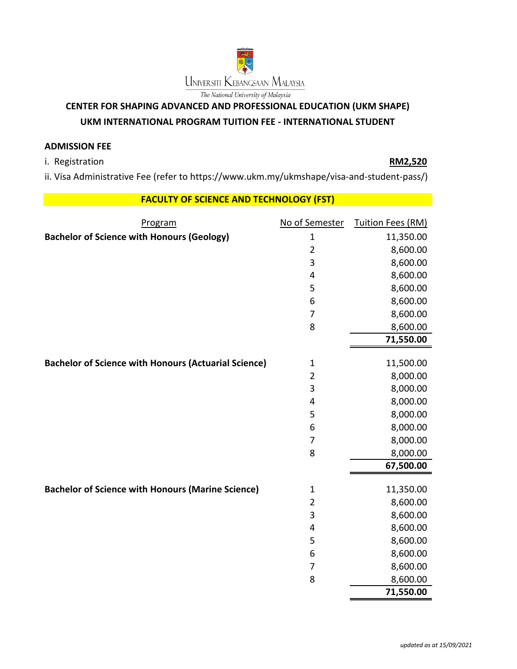

## **CENTER FOR SHAPING ADVANCED AND PROFESSIONAL EDUCATION (UKM SHAPE)**

## **UKM INTERNATIONAL PROGRAM TUITION FEE - INTERNATIONAL STUDENT**

## **ADMISSION FEE**

i. Registration **RM2,520**

ii. Visa Administrative Fee (refer to https://www.ukm.my/ukmshape/visa-and-student-pass/)

## **FACULTY OF SCIENCE AND TECHNOLOGY (FST)**

| Program                                                     | No of Semester | Tuition Fees (RM) |
|-------------------------------------------------------------|----------------|-------------------|
| <b>Bachelor of Science with Honours (Geology)</b>           | $\mathbf 1$    | 11,350.00         |
|                                                             | $\overline{2}$ | 8,600.00          |
|                                                             | 3              | 8,600.00          |
|                                                             | 4              | 8,600.00          |
|                                                             | 5              | 8,600.00          |
|                                                             | 6              | 8,600.00          |
|                                                             | 7              | 8,600.00          |
|                                                             | 8              | 8,600.00          |
|                                                             |                | 71,550.00         |
| <b>Bachelor of Science with Honours (Actuarial Science)</b> | $\mathbf 1$    | 11,500.00         |
|                                                             | $\overline{2}$ | 8,000.00          |
|                                                             | $\mathsf{3}$   | 8,000.00          |
|                                                             | 4              | 8,000.00          |
|                                                             | 5              | 8,000.00          |
|                                                             | 6              | 8,000.00          |
|                                                             | $\overline{7}$ | 8,000.00          |
|                                                             | 8              | 8,000.00          |
|                                                             |                | 67,500.00         |
| <b>Bachelor of Science with Honours (Marine Science)</b>    | $\mathbf 1$    | 11,350.00         |
|                                                             | $\overline{2}$ | 8,600.00          |
|                                                             | $\mathbf{3}$   | 8,600.00          |
|                                                             | 4              | 8,600.00          |
|                                                             | 5              | 8,600.00          |
|                                                             | 6              | 8,600.00          |
|                                                             | $\overline{7}$ | 8,600.00          |
|                                                             | 8              | 8,600.00          |
|                                                             |                | 71,550.00         |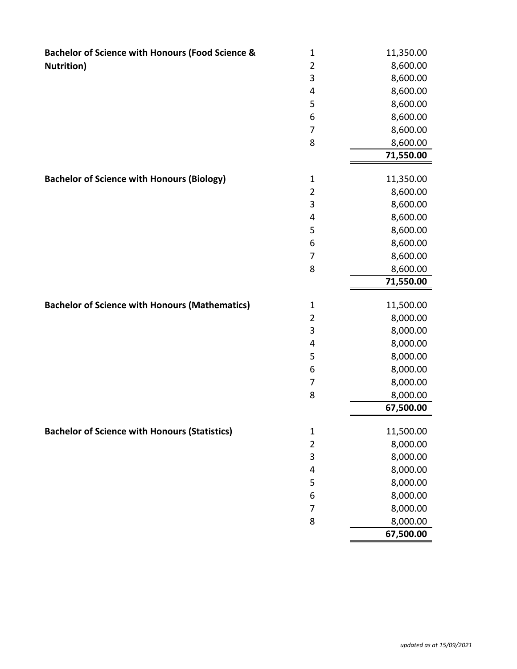| <b>Bachelor of Science with Honours (Food Science &amp;</b> | $\mathbf 1$    | 11,350.00             |
|-------------------------------------------------------------|----------------|-----------------------|
| <b>Nutrition</b> )                                          | $\overline{2}$ | 8,600.00              |
|                                                             | 3              | 8,600.00              |
|                                                             | 4              | 8,600.00              |
|                                                             | 5              | 8,600.00              |
|                                                             | 6              | 8,600.00              |
|                                                             | $\overline{7}$ | 8,600.00              |
|                                                             | 8              | 8,600.00              |
|                                                             |                | 71,550.00             |
|                                                             |                |                       |
| <b>Bachelor of Science with Honours (Biology)</b>           | $\mathbf 1$    | 11,350.00             |
|                                                             | $\overline{2}$ | 8,600.00              |
|                                                             | 3              | 8,600.00              |
|                                                             | 4              | 8,600.00              |
|                                                             | 5              | 8,600.00              |
|                                                             | 6              | 8,600.00              |
|                                                             | 7              | 8,600.00              |
|                                                             | 8              | 8,600.00              |
|                                                             |                | 71,550.00             |
| <b>Bachelor of Science with Honours (Mathematics)</b>       | $\mathbf 1$    | 11,500.00             |
|                                                             | $\overline{2}$ | 8,000.00              |
|                                                             | 3              | 8,000.00              |
|                                                             | 4              | 8,000.00              |
|                                                             | 5              | 8,000.00              |
|                                                             | 6              | 8,000.00              |
|                                                             | 7              | 8,000.00              |
|                                                             | 8              | 8,000.00              |
|                                                             |                | 67,500.00             |
|                                                             |                |                       |
| <b>Bachelor of Science with Honours (Statistics)</b>        | $\mathbf 1$    | 11,500.00             |
|                                                             | $\overline{2}$ | 8,000.00              |
|                                                             | 3              | 8,000.00              |
|                                                             | 4              | 8,000.00              |
|                                                             |                |                       |
|                                                             | 5              | 8,000.00              |
|                                                             | 6              | 8,000.00              |
|                                                             | $\overline{7}$ | 8,000.00              |
|                                                             | 8              | 8,000.00<br>67,500.00 |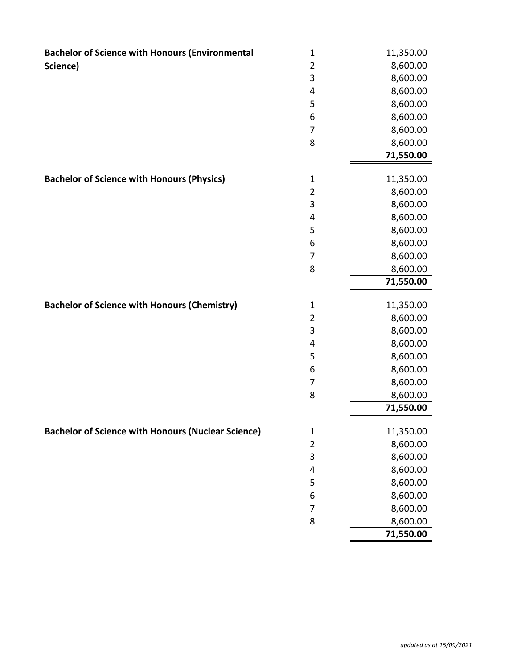| <b>Bachelor of Science with Honours (Environmental</b>    | $\mathbf 1$             | 11,350.00 |
|-----------------------------------------------------------|-------------------------|-----------|
| Science)                                                  | $\overline{2}$          | 8,600.00  |
|                                                           | 3                       | 8,600.00  |
|                                                           | 4                       | 8,600.00  |
|                                                           | 5                       | 8,600.00  |
|                                                           | 6                       | 8,600.00  |
|                                                           | $\overline{7}$          | 8,600.00  |
|                                                           | 8                       | 8,600.00  |
|                                                           |                         | 71,550.00 |
| <b>Bachelor of Science with Honours (Physics)</b>         | $\mathbf{1}$            | 11,350.00 |
|                                                           | $\overline{2}$          | 8,600.00  |
|                                                           | 3                       | 8,600.00  |
|                                                           | 4                       | 8,600.00  |
|                                                           | 5                       | 8,600.00  |
|                                                           | 6                       | 8,600.00  |
|                                                           | 7                       | 8,600.00  |
|                                                           | 8                       | 8,600.00  |
|                                                           |                         | 71,550.00 |
|                                                           |                         |           |
| <b>Bachelor of Science with Honours (Chemistry)</b>       | $\mathbf 1$             | 11,350.00 |
|                                                           | $\overline{2}$          | 8,600.00  |
|                                                           | 3                       | 8,600.00  |
|                                                           | $\overline{\mathbf{4}}$ | 8,600.00  |
|                                                           | 5                       | 8,600.00  |
|                                                           | 6                       | 8,600.00  |
|                                                           | $\overline{7}$          | 8,600.00  |
|                                                           | 8                       | 8,600.00  |
|                                                           |                         | 71,550.00 |
| <b>Bachelor of Science with Honours (Nuclear Science)</b> | $\mathbf{1}$            | 11,350.00 |
|                                                           | $\overline{2}$          | 8,600.00  |
|                                                           | 3                       | 8,600.00  |
|                                                           | 4                       | 8,600.00  |
|                                                           | 5                       | 8,600.00  |
|                                                           | 6                       | 8,600.00  |
|                                                           |                         |           |
|                                                           | $\overline{7}$          | 8,600.00  |
|                                                           | 8                       | 8,600.00  |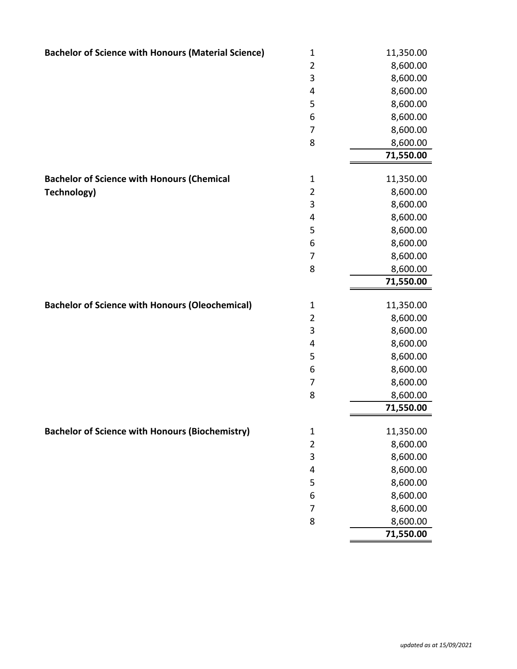| <b>Bachelor of Science with Honours (Material Science)</b> | $\mathbf 1$             | 11,350.00            |
|------------------------------------------------------------|-------------------------|----------------------|
|                                                            | $\overline{2}$          | 8,600.00             |
|                                                            | 3                       | 8,600.00             |
|                                                            | 4                       | 8,600.00             |
|                                                            | 5                       | 8,600.00             |
|                                                            | 6                       | 8,600.00             |
|                                                            | $\overline{7}$          | 8,600.00             |
|                                                            | 8                       | 8,600.00             |
|                                                            |                         | 71,550.00            |
|                                                            |                         |                      |
| <b>Bachelor of Science with Honours (Chemical</b>          | $\mathbf{1}$            | 11,350.00            |
| Technology)                                                | $\overline{2}$          | 8,600.00             |
|                                                            | 3<br>4                  | 8,600.00<br>8,600.00 |
|                                                            | 5                       | 8,600.00             |
|                                                            | 6                       | 8,600.00             |
|                                                            | $\overline{7}$          | 8,600.00             |
|                                                            | 8                       | 8,600.00             |
|                                                            |                         | 71,550.00            |
|                                                            |                         |                      |
| <b>Bachelor of Science with Honours (Oleochemical)</b>     | $\mathbf{1}$            | 11,350.00            |
|                                                            | $\overline{2}$          | 8,600.00             |
|                                                            | 3                       | 8,600.00             |
|                                                            | 4                       | 8,600.00             |
|                                                            | 5                       | 8,600.00             |
|                                                            | 6                       | 8,600.00             |
|                                                            | $\overline{7}$          | 8,600.00             |
|                                                            | 8                       | 8,600.00             |
|                                                            |                         | 71,550.00            |
| <b>Bachelor of Science with Honours (Biochemistry)</b>     | $\mathbf 1$             | 11,350.00            |
|                                                            | $\overline{2}$          | 8,600.00             |
|                                                            | 3                       | 8,600.00             |
|                                                            | $\overline{\mathbf{4}}$ | 8,600.00             |
|                                                            | 5                       | 8,600.00             |
|                                                            | 6                       | 8,600.00             |
|                                                            | $\overline{7}$          | 8,600.00             |
|                                                            | 8                       | 8,600.00             |
|                                                            |                         |                      |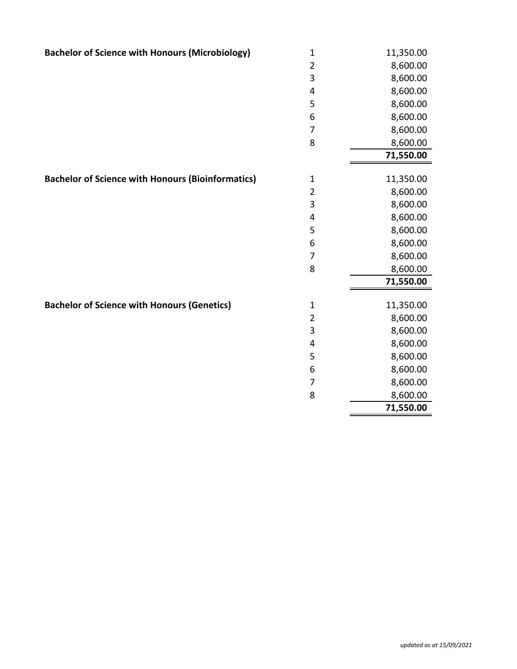| <b>Bachelor of Science with Honours (Microbiology)</b>   | $\mathbf 1$             | 11,350.00 |
|----------------------------------------------------------|-------------------------|-----------|
|                                                          | $\overline{2}$          | 8,600.00  |
|                                                          | $\mathsf{3}$            | 8,600.00  |
|                                                          | 4                       | 8,600.00  |
|                                                          | 5                       | 8,600.00  |
|                                                          | 6                       | 8,600.00  |
|                                                          | 7                       | 8,600.00  |
|                                                          | 8                       | 8,600.00  |
|                                                          |                         | 71,550.00 |
|                                                          |                         |           |
| <b>Bachelor of Science with Honours (Bioinformatics)</b> | $\mathbf 1$             | 11,350.00 |
|                                                          | $\overline{2}$          | 8,600.00  |
|                                                          | 3                       | 8,600.00  |
|                                                          | 4                       | 8,600.00  |
|                                                          | 5                       | 8,600.00  |
|                                                          | 6                       | 8,600.00  |
|                                                          | $\overline{7}$          | 8,600.00  |
|                                                          | 8                       | 8,600.00  |
|                                                          |                         | 71,550.00 |
| <b>Bachelor of Science with Honours (Genetics)</b>       | $\mathbf{1}$            | 11,350.00 |
|                                                          | $\overline{2}$          | 8,600.00  |
|                                                          | 3                       | 8,600.00  |
|                                                          | $\overline{\mathbf{4}}$ | 8,600.00  |
|                                                          | 5                       | 8,600.00  |
|                                                          | 6                       | 8,600.00  |
|                                                          | 7                       | 8,600.00  |
|                                                          | 8                       | 8,600.00  |
|                                                          |                         | 71,550.00 |